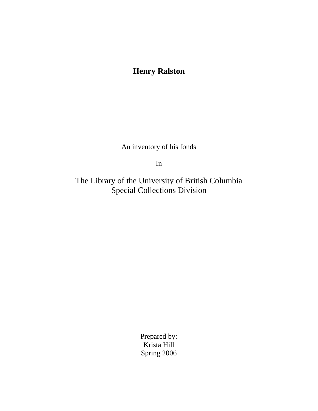# **Henry Ralston**

An inventory of his fonds

In

The Library of the University of British Columbia Special Collections Division

> Prepared by: Krista Hill Spring 2006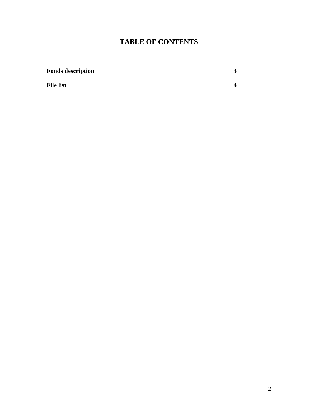### **TABLE OF CONTENTS**

| <b>Fonds description</b> |  |
|--------------------------|--|
| <b>File list</b>         |  |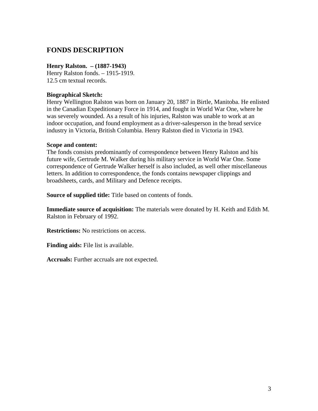### **FONDS DESCRIPTION**

#### **Henry Ralston. – (1887-1943)**

Henry Ralston fonds. – 1915-1919. 12.5 cm textual records.

#### **Biographical Sketch:**

Henry Wellington Ralston was born on January 20, 1887 in Birtle, Manitoba. He enlisted in the Canadian Expeditionary Force in 1914, and fought in World War One, where he was severely wounded. As a result of his injuries, Ralston was unable to work at an indoor occupation, and found employment as a driver-salesperson in the bread service industry in Victoria, British Columbia. Henry Ralston died in Victoria in 1943.

#### **Scope and content:**

The fonds consists predominantly of correspondence between Henry Ralston and his future wife, Gertrude M. Walker during his military service in World War One. Some correspondence of Gertrude Walker herself is also included, as well other miscellaneous letters. In addition to correspondence, the fonds contains newspaper clippings and broadsheets, cards, and Military and Defence receipts.

**Source of supplied title:** Title based on contents of fonds.

**Immediate source of acquisition:** The materials were donated by H. Keith and Edith M. Ralston in February of 1992.

**Restrictions:** No restrictions on access.

**Finding aids:** File list is available.

**Accruals:** Further accruals are not expected.